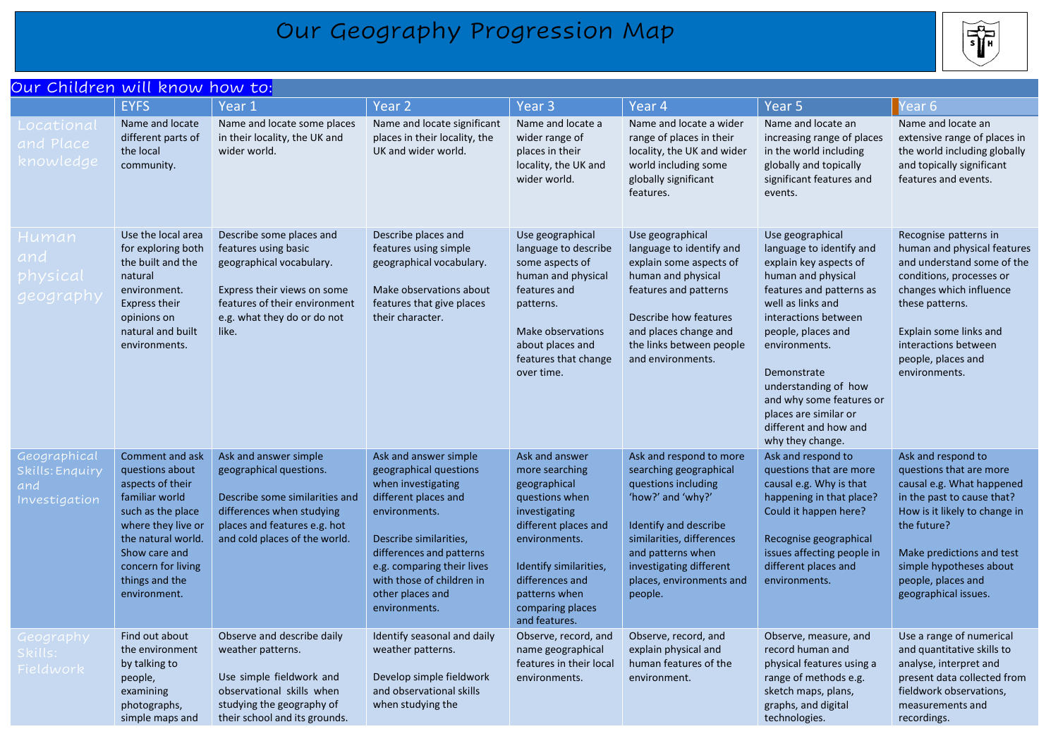## Our Geography Progression Map



| Our Children will know how to:                          |                                                                                                                                                                                                                    |                                                                                                                                                                                      |                                                                                                                                                                                                                                                                      |                                                                                                                                                                                                                                 |                                                                                                                                                                                                                                            |                                                                                                                                                                                                                                                                                                                                                       |                                                                                                                                                                                                                                                                |  |  |
|---------------------------------------------------------|--------------------------------------------------------------------------------------------------------------------------------------------------------------------------------------------------------------------|--------------------------------------------------------------------------------------------------------------------------------------------------------------------------------------|----------------------------------------------------------------------------------------------------------------------------------------------------------------------------------------------------------------------------------------------------------------------|---------------------------------------------------------------------------------------------------------------------------------------------------------------------------------------------------------------------------------|--------------------------------------------------------------------------------------------------------------------------------------------------------------------------------------------------------------------------------------------|-------------------------------------------------------------------------------------------------------------------------------------------------------------------------------------------------------------------------------------------------------------------------------------------------------------------------------------------------------|----------------------------------------------------------------------------------------------------------------------------------------------------------------------------------------------------------------------------------------------------------------|--|--|
|                                                         | <b>EYFS</b>                                                                                                                                                                                                        | Year 1                                                                                                                                                                               | Year <sub>2</sub>                                                                                                                                                                                                                                                    | Year <sub>3</sub>                                                                                                                                                                                                               | Year <sub>4</sub>                                                                                                                                                                                                                          | Year <sub>5</sub>                                                                                                                                                                                                                                                                                                                                     | ear <sub>6</sub>                                                                                                                                                                                                                                               |  |  |
| Locational<br>and Place<br>knowledge                    | Name and locate<br>different parts of<br>the local<br>community.                                                                                                                                                   | Name and locate some places<br>in their locality, the UK and<br>wider world.                                                                                                         | Name and locate significant<br>places in their locality, the<br>UK and wider world.                                                                                                                                                                                  | Name and locate a<br>wider range of<br>places in their<br>locality, the UK and<br>wider world.                                                                                                                                  | Name and locate a wider<br>range of places in their<br>locality, the UK and wider<br>world including some<br>globally significant<br>features.                                                                                             | Name and locate an<br>increasing range of places<br>in the world including<br>globally and topically<br>significant features and<br>events.                                                                                                                                                                                                           | Name and locate an<br>extensive range of places in<br>the world including globally<br>and topically significant<br>features and events.                                                                                                                        |  |  |
| Human<br>and<br>physical<br>geography                   | Use the local area<br>for exploring both<br>the built and the<br>natural<br>environment.<br><b>Express their</b><br>opinions on<br>natural and built<br>environments.                                              | Describe some places and<br>features using basic<br>geographical vocabulary.<br>Express their views on some<br>features of their environment<br>e.g. what they do or do not<br>like. | Describe places and<br>features using simple<br>geographical vocabulary.<br>Make observations about<br>features that give places<br>their character.                                                                                                                 | Use geographical<br>language to describe<br>some aspects of<br>human and physical<br>features and<br>patterns.<br>Make observations<br>about places and<br>features that change<br>over time.                                   | Use geographical<br>language to identify and<br>explain some aspects of<br>human and physical<br>features and patterns<br>Describe how features<br>and places change and<br>the links between people<br>and environments.                  | Use geographical<br>language to identify and<br>explain key aspects of<br>human and physical<br>features and patterns as<br>well as links and<br>interactions between<br>people, places and<br>environments.<br>Demonstrate<br>understanding of how<br>and why some features or<br>places are similar or<br>different and how and<br>why they change. | Recognise patterns in<br>human and physical features<br>and understand some of the<br>conditions, processes or<br>changes which influence<br>these patterns.<br>Explain some links and<br>interactions between<br>people, places and<br>environments.          |  |  |
| Geographical<br>Skills: Enquiry<br>and<br>Investigation | Comment and ask<br>questions about<br>aspects of their<br>familiar world<br>such as the place<br>where they live or<br>the natural world.<br>Show care and<br>concern for living<br>things and the<br>environment. | Ask and answer simple<br>geographical questions.<br>Describe some similarities and<br>differences when studying<br>places and features e.g. hot<br>and cold places of the world.     | Ask and answer simple<br>geographical questions<br>when investigating<br>different places and<br>environments.<br>Describe similarities,<br>differences and patterns<br>e.g. comparing their lives<br>with those of children in<br>other places and<br>environments. | Ask and answer<br>more searching<br>geographical<br>questions when<br>investigating<br>different places and<br>environments.<br>Identify similarities,<br>differences and<br>patterns when<br>comparing places<br>and features. | Ask and respond to more<br>searching geographical<br>questions including<br>'how?' and 'why?'<br>Identify and describe<br>similarities, differences<br>and patterns when<br>investigating different<br>places, environments and<br>people. | Ask and respond to<br>questions that are more<br>causal e.g. Why is that<br>happening in that place?<br>Could it happen here?<br>Recognise geographical<br>issues affecting people in<br>different places and<br>environments.                                                                                                                        | Ask and respond to<br>questions that are more<br>causal e.g. What happened<br>in the past to cause that?<br>How is it likely to change in<br>the future?<br>Make predictions and test<br>simple hypotheses about<br>people, places and<br>geographical issues. |  |  |
| Geography<br>Skills:<br>Fieldwork                       | Find out about<br>the environment<br>by talking to<br>people,<br>examining<br>photographs,<br>simple maps and                                                                                                      | Observe and describe daily<br>weather patterns.<br>Use simple fieldwork and<br>observational skills when<br>studying the geography of<br>their school and its grounds.               | Identify seasonal and daily<br>weather patterns.<br>Develop simple fieldwork<br>and observational skills<br>when studying the                                                                                                                                        | Observe, record, and<br>name geographical<br>features in their local<br>environments.                                                                                                                                           | Observe, record, and<br>explain physical and<br>human features of the<br>environment.                                                                                                                                                      | Observe, measure, and<br>record human and<br>physical features using a<br>range of methods e.g.<br>sketch maps, plans,<br>graphs, and digital<br>technologies.                                                                                                                                                                                        | Use a range of numerical<br>and quantitative skills to<br>analyse, interpret and<br>present data collected from<br>fieldwork observations,<br>measurements and<br>recordings.                                                                                  |  |  |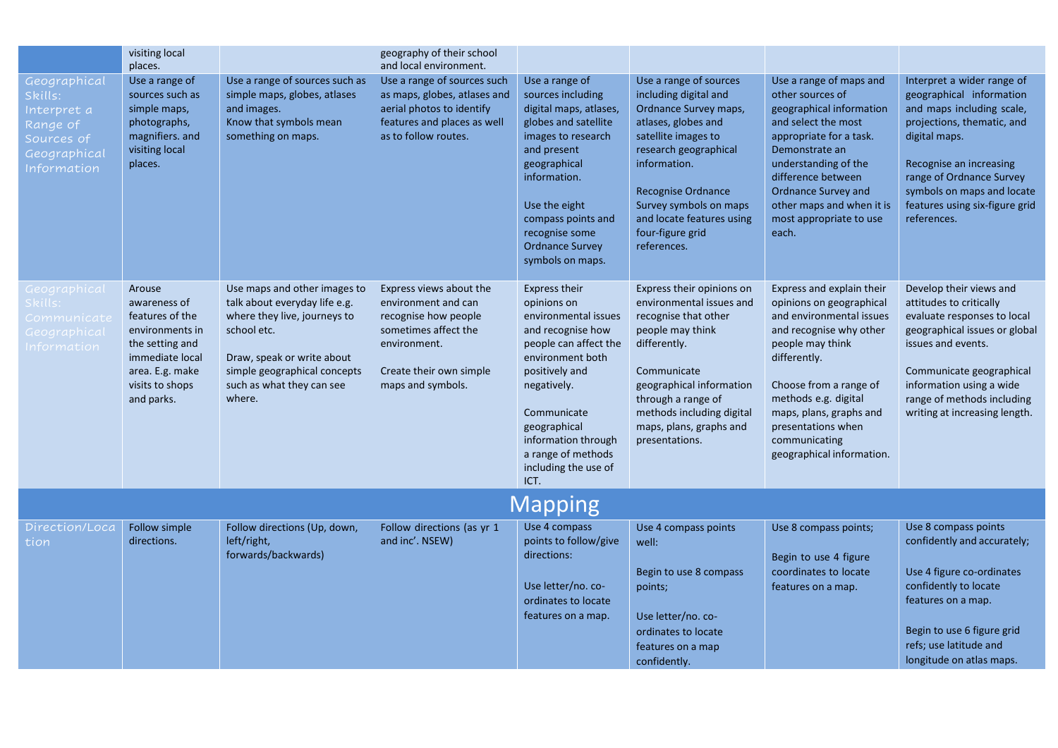|                                                                                                        | visiting local<br>places.                                                                                                                              |                                                                                                                                                                                                                   | geography of their school<br>and local environment.                                                                                                            |                                                                                                                                                                                                                                                                     |                                                                                                                                                                                                                                                                                        |                                                                                                                                                                                                                                                                                                   |                                                                                                                                                                                                                                                                          |  |
|--------------------------------------------------------------------------------------------------------|--------------------------------------------------------------------------------------------------------------------------------------------------------|-------------------------------------------------------------------------------------------------------------------------------------------------------------------------------------------------------------------|----------------------------------------------------------------------------------------------------------------------------------------------------------------|---------------------------------------------------------------------------------------------------------------------------------------------------------------------------------------------------------------------------------------------------------------------|----------------------------------------------------------------------------------------------------------------------------------------------------------------------------------------------------------------------------------------------------------------------------------------|---------------------------------------------------------------------------------------------------------------------------------------------------------------------------------------------------------------------------------------------------------------------------------------------------|--------------------------------------------------------------------------------------------------------------------------------------------------------------------------------------------------------------------------------------------------------------------------|--|
| Geographical<br>Skills:<br>Interpret a<br>Range of<br>Sources of<br>Geographical<br><b>Information</b> | Use a range of<br>sources such as<br>simple maps,<br>photographs,<br>magnifiers. and<br>visiting local<br>places.                                      | Use a range of sources such as<br>simple maps, globes, atlases<br>and images.<br>Know that symbols mean<br>something on maps.                                                                                     | Use a range of sources such<br>as maps, globes, atlases and<br>aerial photos to identify<br>features and places as well<br>as to follow routes.                | Use a range of<br>sources including<br>digital maps, atlases,<br>globes and satellite<br>images to research<br>and present<br>geographical<br>information.<br>Use the eight<br>compass points and<br>recognise some<br><b>Ordnance Survey</b><br>symbols on maps.   | Use a range of sources<br>including digital and<br>Ordnance Survey maps,<br>atlases, globes and<br>satellite images to<br>research geographical<br>information.<br><b>Recognise Ordnance</b><br>Survey symbols on maps<br>and locate features using<br>four-figure grid<br>references. | Use a range of maps and<br>other sources of<br>geographical information<br>and select the most<br>appropriate for a task.<br>Demonstrate an<br>understanding of the<br>difference between<br><b>Ordnance Survey and</b><br>other maps and when it is<br>most appropriate to use<br>each.          | Interpret a wider range of<br>geographical information<br>and maps including scale,<br>projections, thematic, and<br>digital maps.<br>Recognise an increasing<br>range of Ordnance Survey<br>symbols on maps and locate<br>features using six-figure grid<br>references. |  |
| Geographical<br>skills:<br>Communica <u>te</u><br>Geographical<br><b>nformation</b>                    | Arouse<br>awareness of<br>features of the<br>environments in<br>the setting and<br>immediate local<br>area. E.g. make<br>visits to shops<br>and parks. | Use maps and other images to<br>talk about everyday life e.g.<br>where they live, journeys to<br>school etc.<br>Draw, speak or write about<br>simple geographical concepts<br>such as what they can see<br>where. | Express views about the<br>environment and can<br>recognise how people<br>sometimes affect the<br>environment.<br>Create their own simple<br>maps and symbols. | Express their<br>opinions on<br>environmental issues<br>and recognise how<br>people can affect the<br>environment both<br>positively and<br>negatively.<br>Communicate<br>geographical<br>information through<br>a range of methods<br>including the use of<br>ICT. | Express their opinions on<br>environmental issues and<br>recognise that other<br>people may think<br>differently.<br>Communicate<br>geographical information<br>through a range of<br>methods including digital<br>maps, plans, graphs and<br>presentations.                           | Express and explain their<br>opinions on geographical<br>and environmental issues<br>and recognise why other<br>people may think<br>differently.<br>Choose from a range of<br>methods e.g. digital<br>maps, plans, graphs and<br>presentations when<br>communicating<br>geographical information. | Develop their views and<br>attitudes to critically<br>evaluate responses to local<br>geographical issues or global<br>issues and events.<br>Communicate geographical<br>information using a wide<br>range of methods including<br>writing at increasing length.          |  |
| <b>Mapping</b>                                                                                         |                                                                                                                                                        |                                                                                                                                                                                                                   |                                                                                                                                                                |                                                                                                                                                                                                                                                                     |                                                                                                                                                                                                                                                                                        |                                                                                                                                                                                                                                                                                                   |                                                                                                                                                                                                                                                                          |  |
| Direction/Loca<br>tion                                                                                 | Follow simple<br>directions.                                                                                                                           | Follow directions (Up, down,<br>left/right,<br>forwards/backwards)                                                                                                                                                | Follow directions (as yr 1<br>and inc'. NSEW)                                                                                                                  | Use 4 compass<br>points to follow/give<br>directions:<br>Use letter/no. co-<br>ordinates to locate<br>features on a map.                                                                                                                                            | Use 4 compass points<br>well:<br>Begin to use 8 compass<br>points;<br>Use letter/no. co-<br>ordinates to locate<br>features on a map<br>confidently.                                                                                                                                   | Use 8 compass points;<br>Begin to use 4 figure<br>coordinates to locate<br>features on a map.                                                                                                                                                                                                     | Use 8 compass points<br>confidently and accurately;<br>Use 4 figure co-ordinates<br>confidently to locate<br>features on a map.<br>Begin to use 6 figure grid<br>refs; use latitude and<br>longitude on atlas maps.                                                      |  |